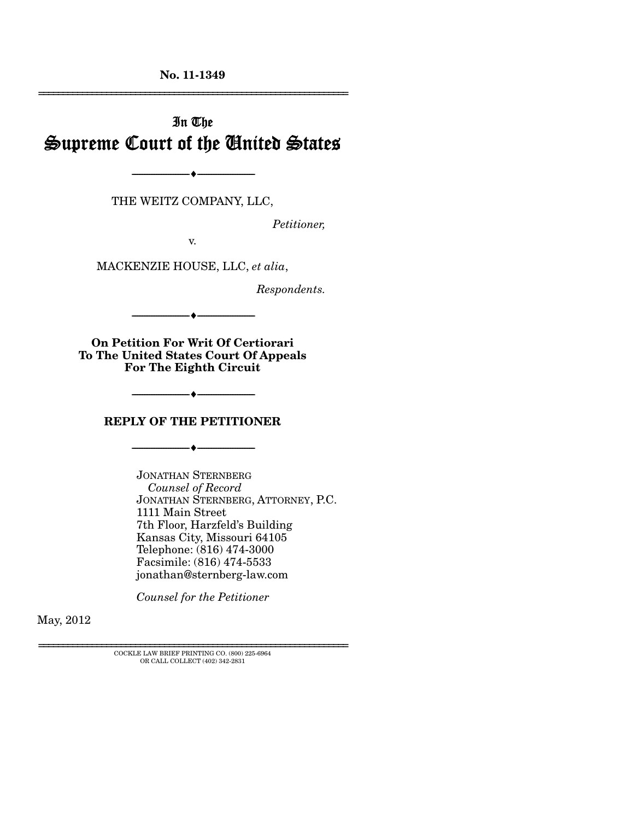**No. 11-1349** 

# In The Supreme Court of the United States

THE WEITZ COMPANY, LLC,

--------------------------------- ---------------------------------

*Petitioner,* 

================================================================

v.

MACKENZIE HOUSE, LLC, *et alia*,

*Respondents.* 

**On Petition For Writ Of Certiorari To The United States Court Of Appeals For The Eighth Circuit** 

--------------------------------- ---------------------------------

#### **REPLY OF THE PETITIONER**

--------------------------------- ---------------------------------

--------------------------------- ---------------------------------

JONATHAN STERNBERG  *Counsel of Record*  JONATHAN STERNBERG, ATTORNEY, P.C. 1111 Main Street 7th Floor, Harzfeld's Building Kansas City, Missouri 64105 Telephone: (816) 474-3000 Facsimile: (816) 474-5533 jonathan@sternberg-law.com

*Counsel for the Petitioner* 

May, 2012

================================================================ COCKLE LAW BRIEF PRINTING CO. (800) 225-6964 OR CALL COLLECT (402) 342-2831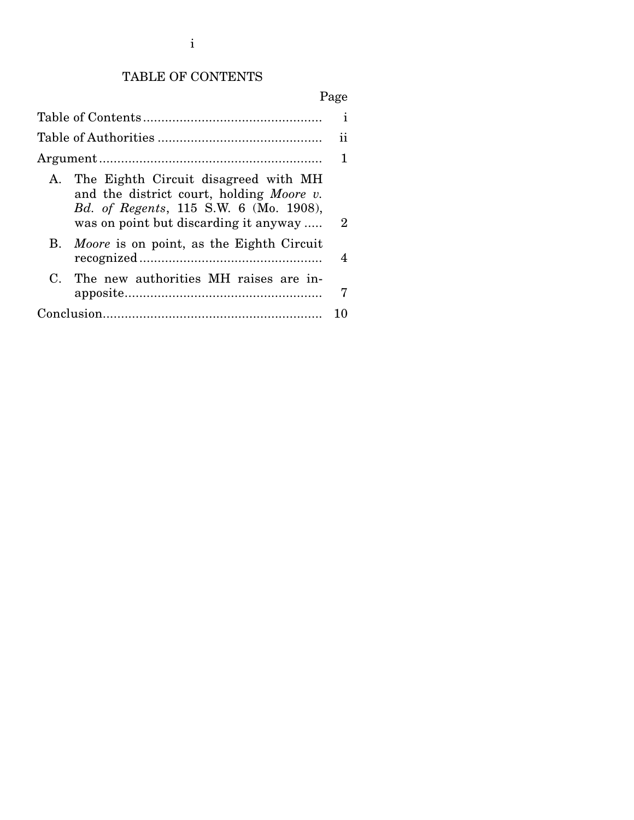# TABLE OF CONTENTS

# Page

|                                                                                                                                                                        | ı  |
|------------------------------------------------------------------------------------------------------------------------------------------------------------------------|----|
|                                                                                                                                                                        | 11 |
|                                                                                                                                                                        | 1  |
| A. The Eighth Circuit disagreed with MH<br>and the district court, holding Moore v.<br>Bd. of Regents, 115 S.W. 6 (Mo. 1908),<br>was on point but discarding it anyway | 2  |
| B. Moore is on point, as the Eighth Circuit                                                                                                                            | 4  |
| The new authorities MH raises are in-<br>$\mathbf{C}$                                                                                                                  | 7  |
|                                                                                                                                                                        |    |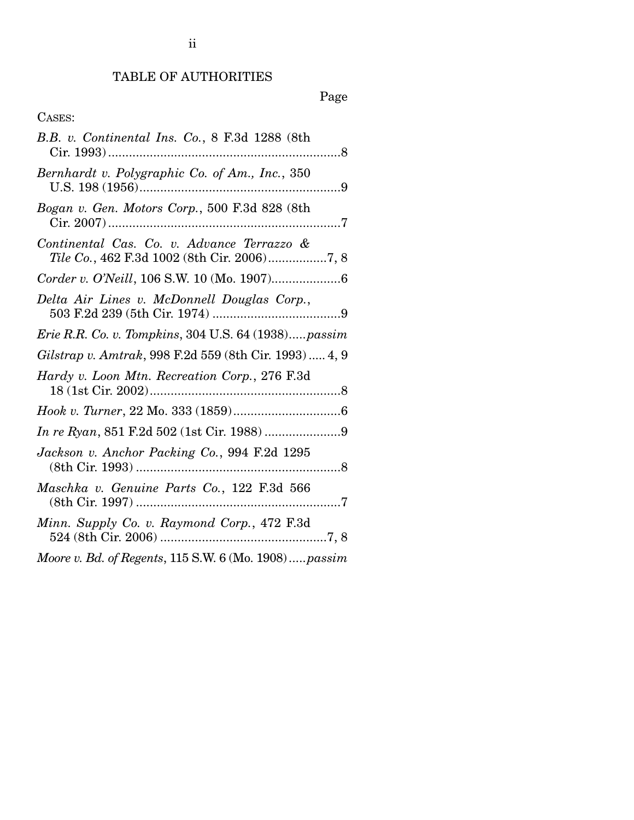### TABLE OF AUTHORITIES

### Page

### CASES:

| B.B. v. Continental Ins. Co., 8 F.3d 1288 (8th                                                                                                                                                                                                                                                                                     |  |
|------------------------------------------------------------------------------------------------------------------------------------------------------------------------------------------------------------------------------------------------------------------------------------------------------------------------------------|--|
| Bernhardt v. Polygraphic Co. of Am., Inc., 350                                                                                                                                                                                                                                                                                     |  |
| Bogan v. Gen. Motors Corp., 500 F.3d 828 (8th                                                                                                                                                                                                                                                                                      |  |
| Continental Cas. Co. v. Advance Terrazzo &<br>Tile Co., 462 F.3d 1002 (8th Cir. 2006)7, 8                                                                                                                                                                                                                                          |  |
|                                                                                                                                                                                                                                                                                                                                    |  |
| Delta Air Lines v. McDonnell Douglas Corp.,                                                                                                                                                                                                                                                                                        |  |
| Erie R.R. Co. v. Tompkins, 304 U.S. 64 (1938)passim                                                                                                                                                                                                                                                                                |  |
| Gilstrap v. Amtrak, 998 F.2d 559 (8th Cir. 1993)  4, 9                                                                                                                                                                                                                                                                             |  |
| Hardy v. Loon Mtn. Recreation Corp., 276 F.3d                                                                                                                                                                                                                                                                                      |  |
|                                                                                                                                                                                                                                                                                                                                    |  |
|                                                                                                                                                                                                                                                                                                                                    |  |
| Jackson v. Anchor Packing Co., 994 F.2d 1295                                                                                                                                                                                                                                                                                       |  |
| Maschka v. Genuine Parts Co., 122 F.3d 566                                                                                                                                                                                                                                                                                         |  |
| Minn. Supply Co. v. Raymond Corp., 472 F.3d                                                                                                                                                                                                                                                                                        |  |
| $\mathbf{R}$ $\mathbf{R}$ $\mathbf{R}$ $\mathbf{R}$ $\mathbf{R}$ $\mathbf{R}$ $\mathbf{R}$ $\mathbf{R}$ $\mathbf{R}$ $\mathbf{R}$ $\mathbf{R}$ $\mathbf{R}$ $\mathbf{R}$ $\mathbf{R}$ $\mathbf{R}$ $\mathbf{R}$ $\mathbf{R}$ $\mathbf{R}$ $\mathbf{R}$ $\mathbf{R}$ $\mathbf{R}$ $\mathbf{R}$ $\mathbf{R}$ $\mathbf{R}$ $\mathbf{$ |  |

*Moore v. Bd. of Regents*, 115 S.W. 6 (Mo. 1908) ..... *passim*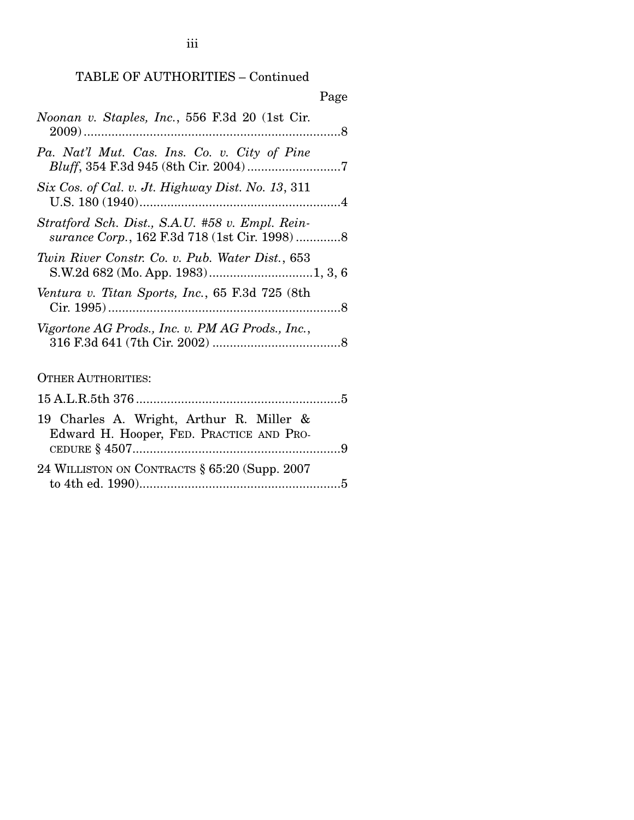### TABLE OF AUTHORITIES – Continued

| Page                                                                                            |
|-------------------------------------------------------------------------------------------------|
| Noonan v. Staples, Inc., 556 F.3d 20 (1st Cir.                                                  |
| Pa. Nat'l Mut. Cas. Ins. Co. v. City of Pine                                                    |
| Six Cos. of Cal. v. Jt. Highway Dist. No. 13, 311                                               |
| Stratford Sch. Dist., S.A.U. #58 v. Empl. Rein-<br>surance Corp., 162 F.3d 718 (1st Cir. 1998)8 |
| Twin River Constr. Co. v. Pub. Water Dist., 653                                                 |
| Ventura v. Titan Sports, Inc., 65 F.3d 725 (8th                                                 |
| Vigortone AG Prods., Inc. v. PM AG Prods., Inc.,                                                |
| <b>OTHER AUTHORITIES:</b>                                                                       |
|                                                                                                 |
| 19 Charles A. Wright, Arthur R. Miller &<br>Edward H. Hooper, FED. PRACTICE AND PRO-            |
| 24 WILLISTON ON CONTRACTS § 65:20 (Supp. 2007)                                                  |

to 4th ed. 1990) .......................................................... 5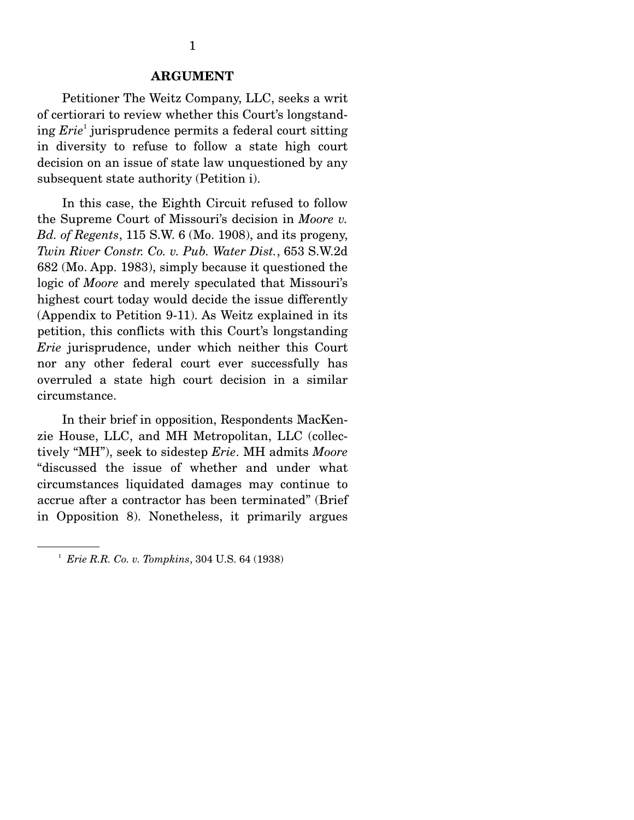Petitioner The Weitz Company, LLC, seeks a writ of certiorari to review whether this Court's longstanding *Erie*<sup>1</sup> jurisprudence permits a federal court sitting in diversity to refuse to follow a state high court decision on an issue of state law unquestioned by any subsequent state authority (Petition i).

 In this case, the Eighth Circuit refused to follow the Supreme Court of Missouri's decision in *Moore v. Bd. of Regents*, 115 S.W. 6 (Mo. 1908), and its progeny, *Twin River Constr. Co. v. Pub. Water Dist.*, 653 S.W.2d 682 (Mo. App. 1983), simply because it questioned the logic of *Moore* and merely speculated that Missouri's highest court today would decide the issue differently (Appendix to Petition 9-11). As Weitz explained in its petition, this conflicts with this Court's longstanding *Erie* jurisprudence, under which neither this Court nor any other federal court ever successfully has overruled a state high court decision in a similar circumstance.

 In their brief in opposition, Respondents MacKenzie House, LLC, and MH Metropolitan, LLC (collectively "MH"), seek to sidestep *Erie*. MH admits *Moore* "discussed the issue of whether and under what circumstances liquidated damages may continue to accrue after a contractor has been terminated" (Brief in Opposition 8). Nonetheless, it primarily argues

<sup>1</sup> *Erie R.R. Co. v. Tompkins*, 304 U.S. 64 (1938)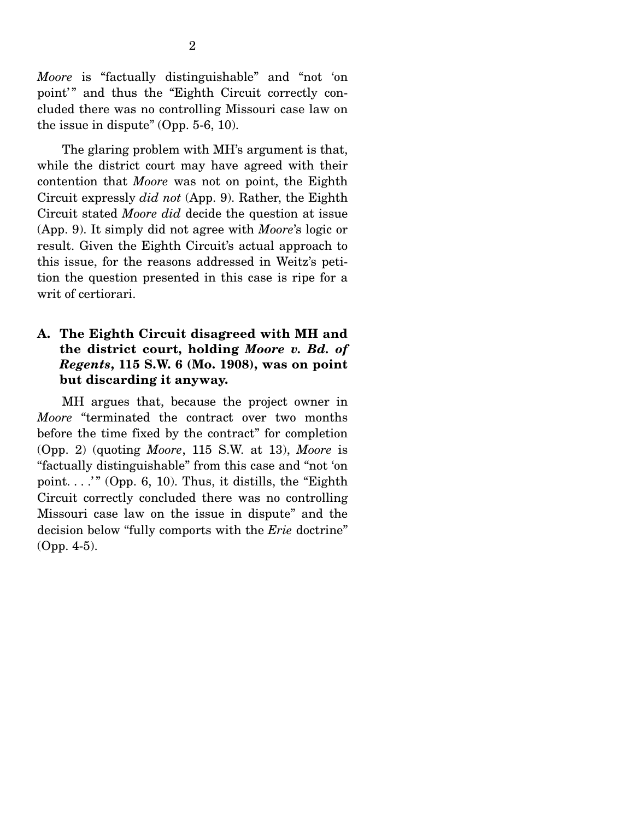*Moore* is "factually distinguishable" and "not 'on point'" and thus the "Eighth Circuit correctly concluded there was no controlling Missouri case law on the issue in dispute" (Opp. 5-6, 10).

 The glaring problem with MH's argument is that, while the district court may have agreed with their contention that *Moore* was not on point, the Eighth Circuit expressly *did not* (App. 9). Rather, the Eighth Circuit stated *Moore did* decide the question at issue (App. 9). It simply did not agree with *Moore*'s logic or result. Given the Eighth Circuit's actual approach to this issue, for the reasons addressed in Weitz's petition the question presented in this case is ripe for a writ of certiorari.

#### **A. The Eighth Circuit disagreed with MH and the district court, holding** *Moore v. Bd. of Regents***, 115 S.W. 6 (Mo. 1908), was on point but discarding it anyway.**

 MH argues that, because the project owner in *Moore* "terminated the contract over two months before the time fixed by the contract" for completion (Opp. 2) (quoting *Moore*, 115 S.W. at 13), *Moore* is "factually distinguishable" from this case and "not 'on point....'" (Opp. 6, 10). Thus, it distills, the "Eighth" Circuit correctly concluded there was no controlling Missouri case law on the issue in dispute" and the decision below "fully comports with the *Erie* doctrine" (Opp. 4-5).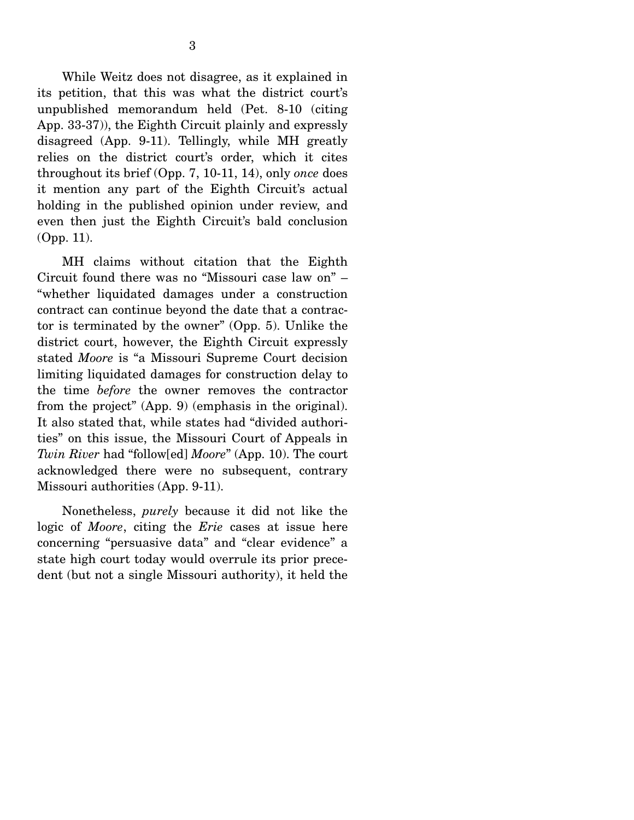While Weitz does not disagree, as it explained in its petition, that this was what the district court's unpublished memorandum held (Pet. 8-10 (citing App. 33-37)), the Eighth Circuit plainly and expressly disagreed (App. 9-11). Tellingly, while MH greatly relies on the district court's order, which it cites throughout its brief (Opp. 7, 10-11, 14), only *once* does it mention any part of the Eighth Circuit's actual holding in the published opinion under review, and even then just the Eighth Circuit's bald conclusion (Opp. 11).

 MH claims without citation that the Eighth Circuit found there was no "Missouri case law on" – "whether liquidated damages under a construction contract can continue beyond the date that a contractor is terminated by the owner" (Opp. 5). Unlike the district court, however, the Eighth Circuit expressly stated *Moore* is "a Missouri Supreme Court decision limiting liquidated damages for construction delay to the time *before* the owner removes the contractor from the project" (App. 9) (emphasis in the original). It also stated that, while states had "divided authorities" on this issue, the Missouri Court of Appeals in *Twin River* had "follow[ed] *Moore*" (App. 10). The court acknowledged there were no subsequent, contrary Missouri authorities (App. 9-11).

 Nonetheless, *purely* because it did not like the logic of *Moore*, citing the *Erie* cases at issue here concerning "persuasive data" and "clear evidence" a state high court today would overrule its prior precedent (but not a single Missouri authority), it held the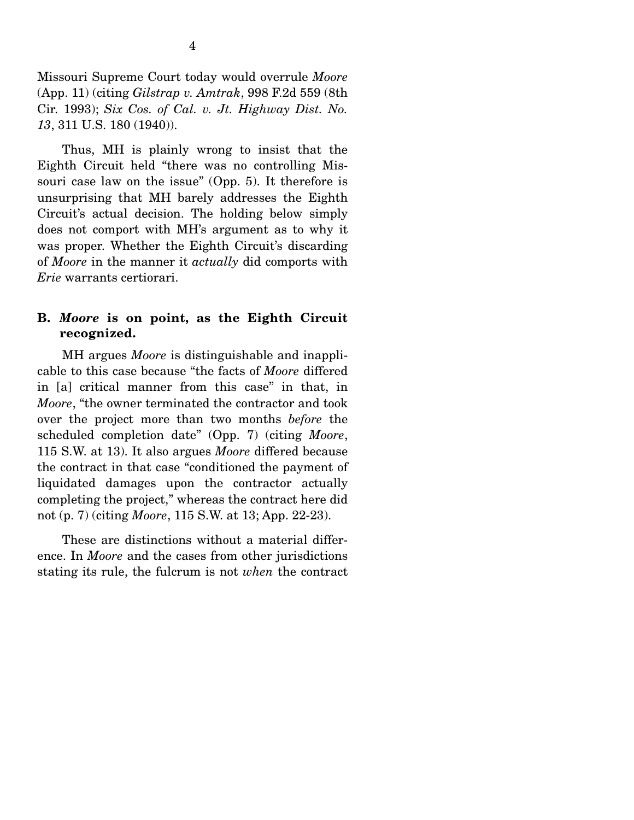Missouri Supreme Court today would overrule *Moore* (App. 11) (citing *Gilstrap v. Amtrak*, 998 F.2d 559 (8th Cir. 1993); *Six Cos. of Cal. v. Jt. Highway Dist. No. 13*, 311 U.S. 180 (1940)).

 Thus, MH is plainly wrong to insist that the Eighth Circuit held "there was no controlling Missouri case law on the issue" (Opp. 5). It therefore is unsurprising that MH barely addresses the Eighth Circuit's actual decision. The holding below simply does not comport with MH's argument as to why it was proper. Whether the Eighth Circuit's discarding of *Moore* in the manner it *actually* did comports with *Erie* warrants certiorari.

#### **B.** *Moore* **is on point, as the Eighth Circuit recognized.**

 MH argues *Moore* is distinguishable and inapplicable to this case because "the facts of *Moore* differed in [a] critical manner from this case" in that, in *Moore*, "the owner terminated the contractor and took over the project more than two months *before* the scheduled completion date" (Opp. 7) (citing *Moore*, 115 S.W. at 13). It also argues *Moore* differed because the contract in that case "conditioned the payment of liquidated damages upon the contractor actually completing the project," whereas the contract here did not (p. 7) (citing *Moore*, 115 S.W. at 13; App. 22-23).

 These are distinctions without a material difference. In *Moore* and the cases from other jurisdictions stating its rule, the fulcrum is not *when* the contract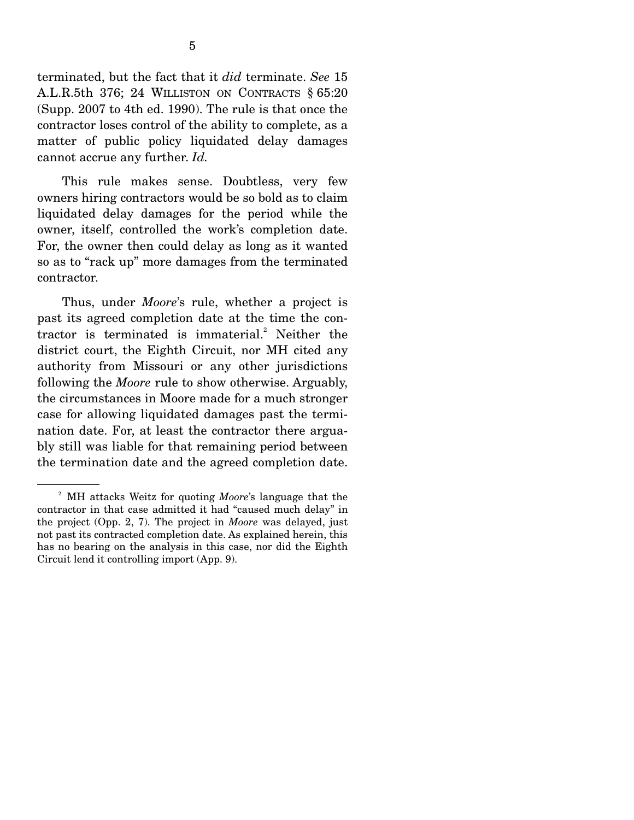terminated, but the fact that it *did* terminate. *See* 15 A.L.R.5th 376; 24 WILLISTON ON CONTRACTS § 65:20 (Supp. 2007 to 4th ed. 1990). The rule is that once the contractor loses control of the ability to complete, as a matter of public policy liquidated delay damages cannot accrue any further. *Id.*

 This rule makes sense. Doubtless, very few owners hiring contractors would be so bold as to claim liquidated delay damages for the period while the owner, itself, controlled the work's completion date. For, the owner then could delay as long as it wanted so as to "rack up" more damages from the terminated contractor.

 Thus, under *Moore*'s rule, whether a project is past its agreed completion date at the time the contractor is terminated is immaterial. $^{2}$  Neither the district court, the Eighth Circuit, nor MH cited any authority from Missouri or any other jurisdictions following the *Moore* rule to show otherwise. Arguably, the circumstances in Moore made for a much stronger case for allowing liquidated damages past the termination date. For, at least the contractor there arguably still was liable for that remaining period between the termination date and the agreed completion date.

<sup>2</sup> MH attacks Weitz for quoting *Moore*'s language that the contractor in that case admitted it had "caused much delay" in the project (Opp. 2, 7). The project in *Moore* was delayed, just not past its contracted completion date. As explained herein, this has no bearing on the analysis in this case, nor did the Eighth Circuit lend it controlling import (App. 9).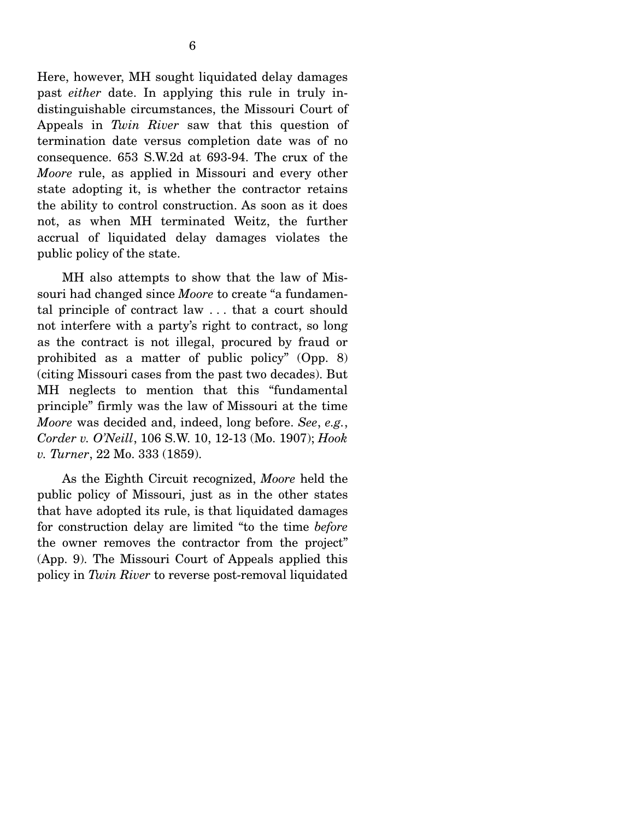Here, however, MH sought liquidated delay damages past *either* date. In applying this rule in truly indistinguishable circumstances, the Missouri Court of Appeals in *Twin River* saw that this question of termination date versus completion date was of no consequence. 653 S.W.2d at 693-94. The crux of the *Moore* rule, as applied in Missouri and every other state adopting it, is whether the contractor retains the ability to control construction. As soon as it does not, as when MH terminated Weitz, the further accrual of liquidated delay damages violates the public policy of the state.

 MH also attempts to show that the law of Missouri had changed since *Moore* to create "a fundamental principle of contract law . . . that a court should not interfere with a party's right to contract, so long as the contract is not illegal, procured by fraud or prohibited as a matter of public policy" (Opp. 8) (citing Missouri cases from the past two decades). But MH neglects to mention that this "fundamental principle" firmly was the law of Missouri at the time *Moore* was decided and, indeed, long before. *See*, *e.g.*, *Corder v. O'Neill*, 106 S.W. 10, 12-13 (Mo. 1907); *Hook v. Turner*, 22 Mo. 333 (1859).

 As the Eighth Circuit recognized, *Moore* held the public policy of Missouri, just as in the other states that have adopted its rule, is that liquidated damages for construction delay are limited "to the time *before*  the owner removes the contractor from the project" (App. 9). The Missouri Court of Appeals applied this policy in *Twin River* to reverse post-removal liquidated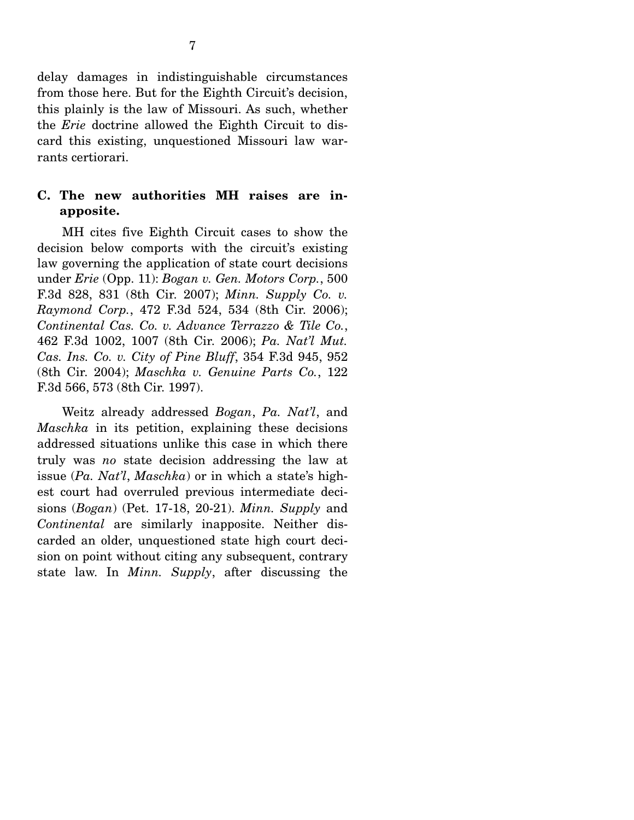delay damages in indistinguishable circumstances from those here. But for the Eighth Circuit's decision, this plainly is the law of Missouri. As such, whether the *Erie* doctrine allowed the Eighth Circuit to discard this existing, unquestioned Missouri law warrants certiorari.

#### **C. The new authorities MH raises are inapposite.**

 MH cites five Eighth Circuit cases to show the decision below comports with the circuit's existing law governing the application of state court decisions under *Erie* (Opp. 11): *Bogan v. Gen. Motors Corp.*, 500 F.3d 828, 831 (8th Cir. 2007); *Minn. Supply Co. v. Raymond Corp.*, 472 F.3d 524, 534 (8th Cir. 2006); *Continental Cas. Co. v. Advance Terrazzo & Tile Co.*, 462 F.3d 1002, 1007 (8th Cir. 2006); *Pa. Nat'l Mut. Cas. Ins. Co. v. City of Pine Bluff*, 354 F.3d 945, 952 (8th Cir. 2004); *Maschka v. Genuine Parts Co.*, 122 F.3d 566, 573 (8th Cir. 1997).

 Weitz already addressed *Bogan*, *Pa. Nat'l*, and *Maschka* in its petition, explaining these decisions addressed situations unlike this case in which there truly was *no* state decision addressing the law at issue (*Pa. Nat'l*, *Maschka*) or in which a state's highest court had overruled previous intermediate decisions (*Bogan*) (Pet. 17-18, 20-21). *Minn. Supply* and *Continental* are similarly inapposite. Neither discarded an older, unquestioned state high court decision on point without citing any subsequent, contrary state law. In *Minn. Supply*, after discussing the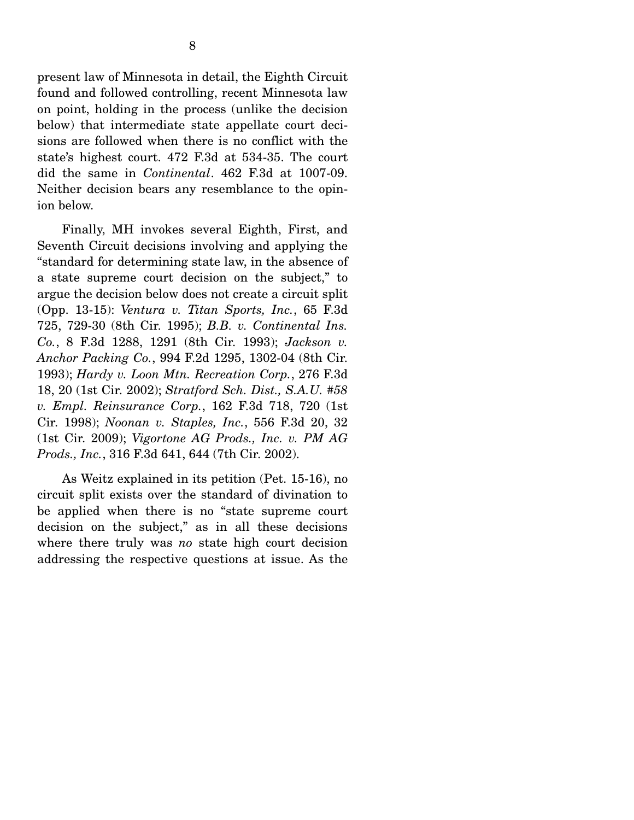present law of Minnesota in detail, the Eighth Circuit found and followed controlling, recent Minnesota law on point, holding in the process (unlike the decision below) that intermediate state appellate court decisions are followed when there is no conflict with the state's highest court. 472 F.3d at 534-35. The court did the same in *Continental*. 462 F.3d at 1007-09. Neither decision bears any resemblance to the opinion below.

 Finally, MH invokes several Eighth, First, and Seventh Circuit decisions involving and applying the "standard for determining state law, in the absence of a state supreme court decision on the subject," to argue the decision below does not create a circuit split (Opp. 13-15): *Ventura v. Titan Sports, Inc.*, 65 F.3d 725, 729-30 (8th Cir. 1995); *B.B. v. Continental Ins. Co.*, 8 F.3d 1288, 1291 (8th Cir. 1993); *Jackson v. Anchor Packing Co.*, 994 F.2d 1295, 1302-04 (8th Cir. 1993); *Hardy v. Loon Mtn. Recreation Corp.*, 276 F.3d 18, 20 (1st Cir. 2002); *Stratford Sch. Dist., S.A.U. #58 v. Empl. Reinsurance Corp.*, 162 F.3d 718, 720 (1st Cir. 1998); *Noonan v. Staples, Inc.*, 556 F.3d 20, 32 (1st Cir. 2009); *Vigortone AG Prods., Inc. v. PM AG Prods., Inc.*, 316 F.3d 641, 644 (7th Cir. 2002).

 As Weitz explained in its petition (Pet. 15-16), no circuit split exists over the standard of divination to be applied when there is no "state supreme court decision on the subject," as in all these decisions where there truly was *no* state high court decision addressing the respective questions at issue. As the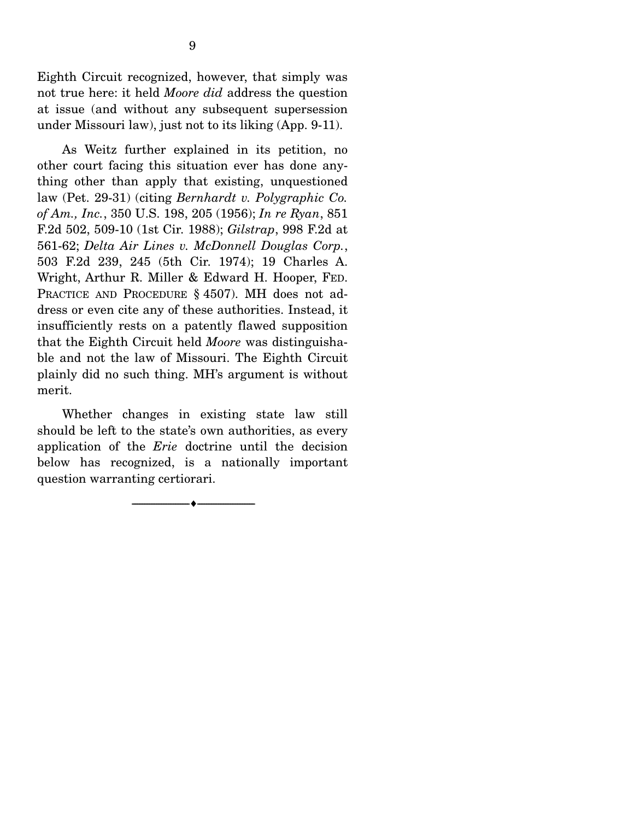Eighth Circuit recognized, however, that simply was not true here: it held *Moore did* address the question at issue (and without any subsequent supersession under Missouri law), just not to its liking (App. 9-11).

 As Weitz further explained in its petition, no other court facing this situation ever has done anything other than apply that existing, unquestioned law (Pet. 29-31) (citing *Bernhardt v. Polygraphic Co. of Am., Inc.*, 350 U.S. 198, 205 (1956); *In re Ryan*, 851 F.2d 502, 509-10 (1st Cir. 1988); *Gilstrap*, 998 F.2d at 561-62; *Delta Air Lines v. McDonnell Douglas Corp.*, 503 F.2d 239, 245 (5th Cir. 1974); 19 Charles A. Wright, Arthur R. Miller & Edward H. Hooper, FED. PRACTICE AND PROCEDURE § 4507). MH does not address or even cite any of these authorities. Instead, it insufficiently rests on a patently flawed supposition that the Eighth Circuit held *Moore* was distinguishable and not the law of Missouri. The Eighth Circuit plainly did no such thing. MH's argument is without merit.

 Whether changes in existing state law still should be left to the state's own authorities, as every application of the *Erie* doctrine until the decision below has recognized, is a nationally important question warranting certiorari.

--------------------------------- ---------------------------------

9